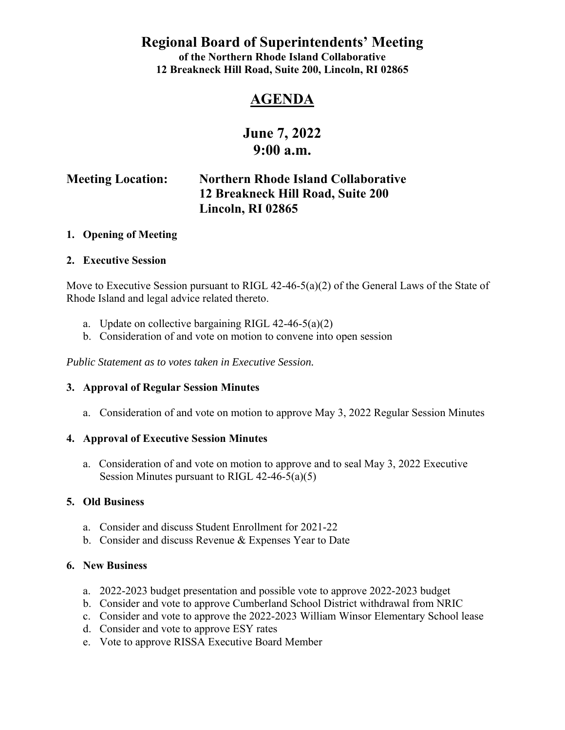**Regional Board of Superintendents' Meeting** 

**of the Northern Rhode Island Collaborative 12 Breakneck Hill Road, Suite 200, Lincoln, RI 02865** 

## **AGENDA**

# **June 7, 2022 9:00 a.m.**

## **Meeting Location: Northern Rhode Island Collaborative 12 Breakneck Hill Road, Suite 200 Lincoln, RI 02865**

#### **1. Opening of Meeting**

#### **2. Executive Session**

Move to Executive Session pursuant to RIGL 42-46-5(a)(2) of the General Laws of the State of Rhode Island and legal advice related thereto.

- a. Update on collective bargaining RIGL 42-46-5(a)(2)
- b. Consideration of and vote on motion to convene into open session

*Public Statement as to votes taken in Executive Session.* 

#### **3. Approval of Regular Session Minutes**

a. Consideration of and vote on motion to approve May 3, 2022 Regular Session Minutes

#### **4. Approval of Executive Session Minutes**

a. Consideration of and vote on motion to approve and to seal May 3, 2022 Executive Session Minutes pursuant to RIGL 42-46-5(a)(5)

#### **5. Old Business**

- a. Consider and discuss Student Enrollment for 2021-22
- b. Consider and discuss Revenue & Expenses Year to Date

#### **6. New Business**

- a. 2022-2023 budget presentation and possible vote to approve 2022-2023 budget
- b. Consider and vote to approve Cumberland School District withdrawal from NRIC
- c. Consider and vote to approve the 2022-2023 William Winsor Elementary School lease
- d. Consider and vote to approve ESY rates
- e. Vote to approve RISSA Executive Board Member